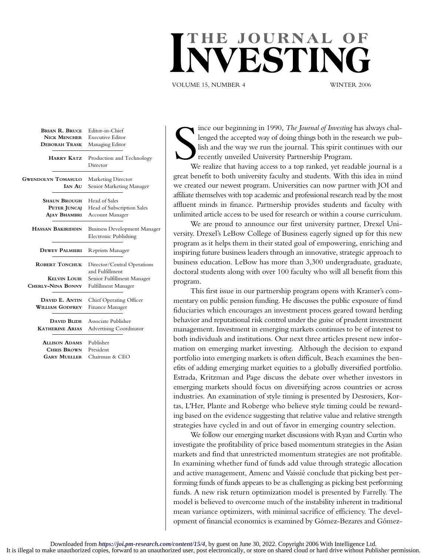## THE JOURNAL **OF**

VOLUME 15, NUMBER 4 WINTER 2006

| <b>BRIAN R. BRUCE</b>     | Editor-in-Chief                                              |
|---------------------------|--------------------------------------------------------------|
| <b>NICK MENCHER</b>       | <b>Executive Editor</b>                                      |
| <b>DEBORAH TRASK</b>      | Managing Editor                                              |
| <b>HARRY KATZ</b>         | Production and Technology<br>Director                        |
| <b>GWENDOLYN TOMASULO</b> | Marketing Director                                           |
| <b>IAN AU</b>             | Senior Marketing Manager                                     |
| <b>SHAUN BROUGH</b>       | Head of Sales                                                |
| PETER JUNCAJ              | Head of Subscription Sales                                   |
| AJAY BHAMBRI              | <b>Account Manager</b>                                       |
| <b>HASSAN BAKIRIDDIN</b>  | <b>Business Development Manager</b><br>Electronic Publishing |
| <b>DEWEY PALMIERI</b>     | Reprints Manager                                             |
| <b>ROBERT TONCHUK</b>     | Director/Central Operations<br>and Fulfillment               |
| <b>KELVIN LOUIE</b>       | Senior Fulfillment Manager                                   |
| CHERLY-NINA BONNY         | Fulfillment Manager                                          |
| DAVID E. ANTIN            | Chief Operating Officer                                      |
| <b>WILLIAM GODFREY</b>    | Finance Manager                                              |
| <b>DAVID BLIDE</b>        | Associate Publisher                                          |
| <b>KATHERINE ARIAS</b>    | <b>Advertising Coordinator</b>                               |
| <b>ALLISON ADAMS</b>      | Publisher                                                    |
| <b>CHRIS BROWN</b>        | President                                                    |
| <b>GARY MUELLER</b>       | Chairman & CEO                                               |
|                           |                                                              |

S<sub>w</sub> ince our beginning in 1990, *The Journal of Investing* has always challenged the accepted way of doing things both in the research we publish and the way we run the journal. This spirit continues with our recently unveiled University Partnership Program.

We realize that having access to a top ranked, yet readable journal is a great benefit to both university faculty and students. With this idea in mind we created our newest program. Universities can now partner with JOI and affiliate themselves with top academic and professional research read by the most affluent minds in finance. Partnership provides students and faculty with unlimited article access to be used for research or within a course curriculum.

We are proud to announce our first university partner, Drexel University. Drexel's LeBow College of Business eagerly signed up for this new program as it helps them in their stated goal of empowering, enriching and inspiring future business leaders through an innovative, strategic approach to business education. LeBow has more than 3,300 undergraduate, graduate, doctoral students along with over 100 faculty who will all benefit from this program.

This first issue in our partnership program opens with Kramer's commentary on public pension funding. He discusses the public exposure of fund fiduciaries which encourages an investment process geared toward herding behavior and reputational risk control under the guise of prudent investment management. Investment in emerging markets continues to be of interest to both individuals and institutions. Our next three articles present new information on emerging market investing. Although the decision to expand portfolio into emerging markets is often difficult, Beach examines the benefits of adding emerging market equities to a globally diversified portfolio. Estrada, Kritzman and Page discuss the debate over whether investors in emerging markets should focus on diversifying across countries or across industries. An examination of style timing is presented by Desrosiers, Kortas, L'Her, Plante and Roberge who believe style timing could be rewarding based on the evidence suggesting that relative value and relative strength strategies have cycled in and out of favor in emerging country selection.

We follow our emerging market discussions with Ryan and Curtin who investigate the profitability of price based momentum strategies in the Asian markets and find that unrestricted momentum strategies are not profitable. In examining whether fund of funds add value through strategic allocation and active management, Amenc and Vaissié conclude that picking best performing funds of funds appears to be as challenging as picking best performing funds. A new risk return optimization model is presented by Farrelly. The model is believed to overcome much of the instability inherent in traditional mean variance optimizers, with minimal sacrifice of efficiency. The development of financial economics is examined by Gómez-Bezares and Gómez-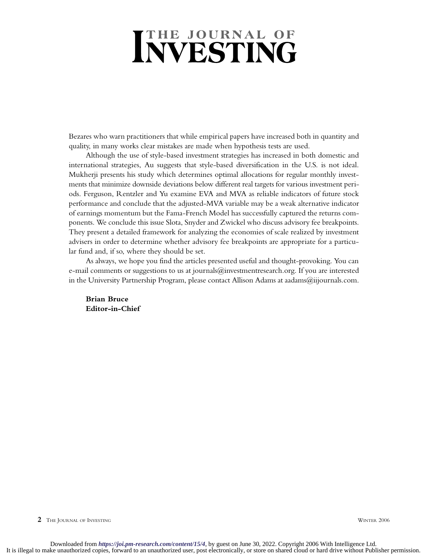## **INVESTING**

Bezares who warn practitioners that while empirical papers have increased both in quantity and quality, in many works clear mistakes are made when hypothesis tests are used.

Although the use of style-based investment strategies has increased in both domestic and international strategies, Au suggests that style-based diversification in the U.S. is not ideal. Mukherji presents his study which determines optimal allocations for regular monthly investments that minimize downside deviations below different real targets for various investment periods. Ferguson, Rentzler and Yu examine EVA and MVA as reliable indicators of future stock performance and conclude that the adjusted-MVA variable may be a weak alternative indicator of earnings momentum but the Fama-French Model has successfully captured the returns components. We conclude this issue Slota, Snyder and Zwickel who discuss advisory fee breakpoints. They present a detailed framework for analyzing the economies of scale realized by investment advisers in order to determine whether advisory fee breakpoints are appropriate for a particular fund and, if so, where they should be set.

As always, we hope you find the articles presented useful and thought-provoking. You can e-mail comments or suggestions to us at journals@investmentresearch.org. If you are interested in the University Partnership Program, please contact Allison Adams at aadams $@$ iijournals.com.

**Brian Bruce Editor-in-Chief**

**2** THE JOURNAL OF INVESTING WINTER 2006